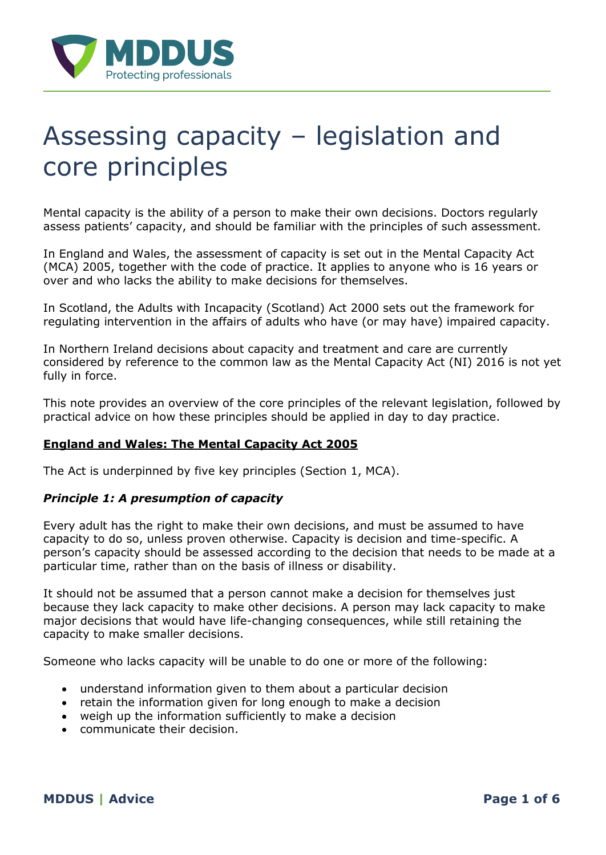

# Assessing capacity – legislation and core principles

Mental capacity is the ability of a person to make their own decisions. Doctors regularly assess patients' capacity, and should be familiar with the principles of such assessment.

In England and Wales, the assessment of capacity is set out in the Mental Capacity Act (MCA) 2005, together with the code of practice. It applies to anyone who is 16 years or over and who lacks the ability to make decisions for themselves.

In Scotland, the Adults with Incapacity (Scotland) Act 2000 sets out the framework for regulating intervention in the affairs of adults who have (or may have) impaired capacity.

In Northern Ireland decisions about capacity and treatment and care are currently considered by reference to the common law as the Mental Capacity Act (NI) 2016 is not yet fully in force.

This note provides an overview of the core principles of the relevant legislation, followed by practical advice on how these principles should be applied in day to day practice.

# **England and Wales: The Mental Capacity Act 2005**

The Act is underpinned by five key principles (Section 1, MCA).

## *Principle 1: A presumption of capacity*

Every adult has the right to make their own decisions, and must be assumed to have capacity to do so, unless proven otherwise. Capacity is decision and time-specific. A person's capacity should be assessed according to the decision that needs to be made at a particular time, rather than on the basis of illness or disability.

It should not be assumed that a person cannot make a decision for themselves just because they lack capacity to make other decisions. A person may lack capacity to make major decisions that would have life-changing consequences, while still retaining the capacity to make smaller decisions.

Someone who lacks capacity will be unable to do one or more of the following:

- understand information given to them about a particular decision
- retain the information given for long enough to make a decision
- weigh up the information sufficiently to make a decision
- communicate their decision.

**MDDUS | Advice Page 1 of 6**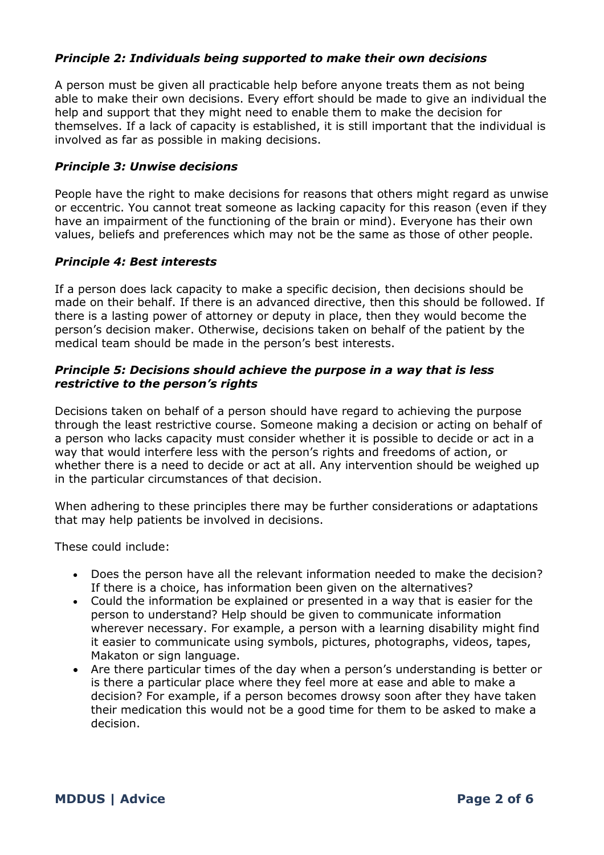# *Principle 2: Individuals being supported to make their own decisions*

A person must be given all practicable help before anyone treats them as not being able to make their own decisions. Every effort should be made to give an individual the help and support that they might need to enable them to make the decision for themselves. If a lack of capacity is established, it is still important that the individual is involved as far as possible in making decisions.

#### *Principle 3: Unwise decisions*

People have the right to make decisions for reasons that others might regard as unwise or eccentric. You cannot treat someone as lacking capacity for this reason (even if they have an impairment of the functioning of the brain or mind). Everyone has their own values, beliefs and preferences which may not be the same as those of other people.

## *Principle 4: Best interests*

If a person does lack capacity to make a specific decision, then decisions should be made on their behalf. If there is an advanced directive, then this should be followed. If there is a lasting power of attorney or deputy in place, then they would become the person's decision maker. Otherwise, decisions taken on behalf of the patient by the medical team should be made in the person's best interests.

## *Principle 5: Decisions should achieve the purpose in a way that is less restrictive to the person's rights*

Decisions taken on behalf of a person should have regard to achieving the purpose through the least restrictive course. Someone making a decision or acting on behalf of a person who lacks capacity must consider whether it is possible to decide or act in a way that would interfere less with the person's rights and freedoms of action, or whether there is a need to decide or act at all. Any intervention should be weighed up in the particular circumstances of that decision.

When adhering to these principles there may be further considerations or adaptations that may help patients be involved in decisions.

These could include:

- Does the person have all the relevant information needed to make the decision? If there is a choice, has information been given on the alternatives?
- Could the information be explained or presented in a way that is easier for the person to understand? Help should be given to communicate information wherever necessary. For example, a person with a learning disability might find it easier to communicate using symbols, pictures, photographs, videos, tapes, Makaton or sign language.
- Are there particular times of the day when a person's understanding is better or is there a particular place where they feel more at ease and able to make a decision? For example, if a person becomes drowsy soon after they have taken their medication this would not be a good time for them to be asked to make a decision.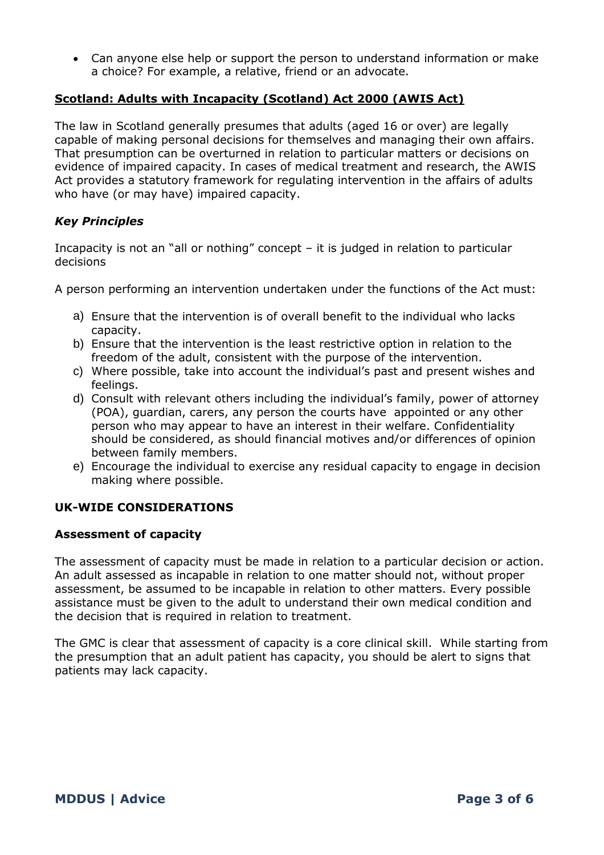Can anyone else help or support the person to understand information or make a choice? For example, a relative, friend or an advocate.

## **Scotland: Adults with Incapacity (Scotland) Act 2000 (AWIS Act)**

The law in Scotland generally presumes that adults (aged 16 or over) are legally capable of making personal decisions for themselves and managing their own affairs. That presumption can be overturned in relation to particular matters or decisions on evidence of impaired capacity. In cases of medical treatment and research, the AWIS Act provides a statutory framework for regulating intervention in the affairs of adults who have (or may have) impaired capacity.

# *Key Principles*

Incapacity is not an "all or nothing" concept – it is judged in relation to particular decisions

A person performing an intervention undertaken under the functions of the Act must:

- a) Ensure that the intervention is of overall benefit to the individual who lacks capacity.
- b) Ensure that the intervention is the least restrictive option in relation to the freedom of the adult, consistent with the purpose of the intervention.
- c) Where possible, take into account the individual's past and present wishes and feelings.
- d) Consult with relevant others including the individual's family, power of attorney (POA), guardian, carers, any person the courts have appointed or any other person who may appear to have an interest in their welfare. Confidentiality should be considered, as should financial motives and/or differences of opinion between family members.
- e) Encourage the individual to exercise any residual capacity to engage in decision making where possible.

# **UK-WIDE CONSIDERATIONS**

## **Assessment of capacity**

The assessment of capacity must be made in relation to a particular decision or action. An adult assessed as incapable in relation to one matter should not, without proper assessment, be assumed to be incapable in relation to other matters. Every possible assistance must be given to the adult to understand their own medical condition and the decision that is required in relation to treatment.

The GMC is clear that assessment of capacity is a core clinical skill. While starting from the presumption that an adult patient has capacity, you should be alert to signs that patients may lack capacity.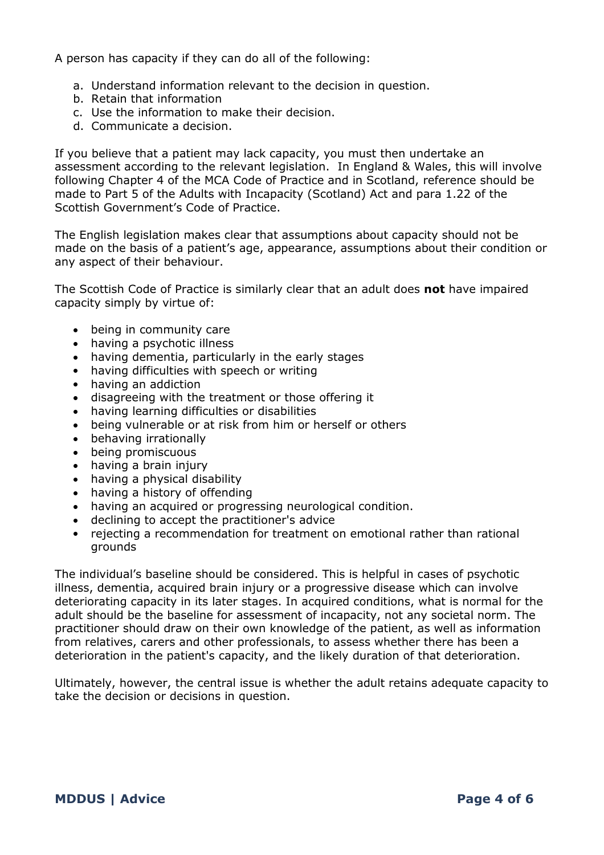A person has capacity if they can do all of the following:

- a. Understand information relevant to the decision in question.
- b. Retain that information
- c. Use the information to make their decision.
- d. Communicate a decision.

If you believe that a patient may lack capacity, you must then undertake an assessment according to the relevant legislation. In England & Wales, this will involve following Chapter 4 of the MCA Code of Practice and in Scotland, reference should be made to Part 5 of the Adults with Incapacity (Scotland) Act and para 1.22 of the Scottish Government's Code of Practice.

The English legislation makes clear that assumptions about capacity should not be made on the basis of a patient's age, appearance, assumptions about their condition or any aspect of their behaviour.

The Scottish Code of Practice is similarly clear that an adult does **not** have impaired capacity simply by virtue of:

- being in community care
- having a psychotic illness
- having dementia, particularly in the early stages
- having difficulties with speech or writing
- having an addiction
- disagreeing with the treatment or those offering it
- having learning difficulties or disabilities
- being vulnerable or at risk from him or herself or others
- behaving irrationally
- being promiscuous
- having a brain injury
- having a physical disability
- having a history of offending
- having an acquired or progressing neurological condition.
- declining to accept the practitioner's advice
- rejecting a recommendation for treatment on emotional rather than rational grounds

The individual's baseline should be considered. This is helpful in cases of psychotic illness, dementia, acquired brain injury or a progressive disease which can involve deteriorating capacity in its later stages. In acquired conditions, what is normal for the adult should be the baseline for assessment of incapacity, not any societal norm. The practitioner should draw on their own knowledge of the patient, as well as information from relatives, carers and other professionals, to assess whether there has been a deterioration in the patient's capacity, and the likely duration of that deterioration.

Ultimately, however, the central issue is whether the adult retains adequate capacity to take the decision or decisions in question.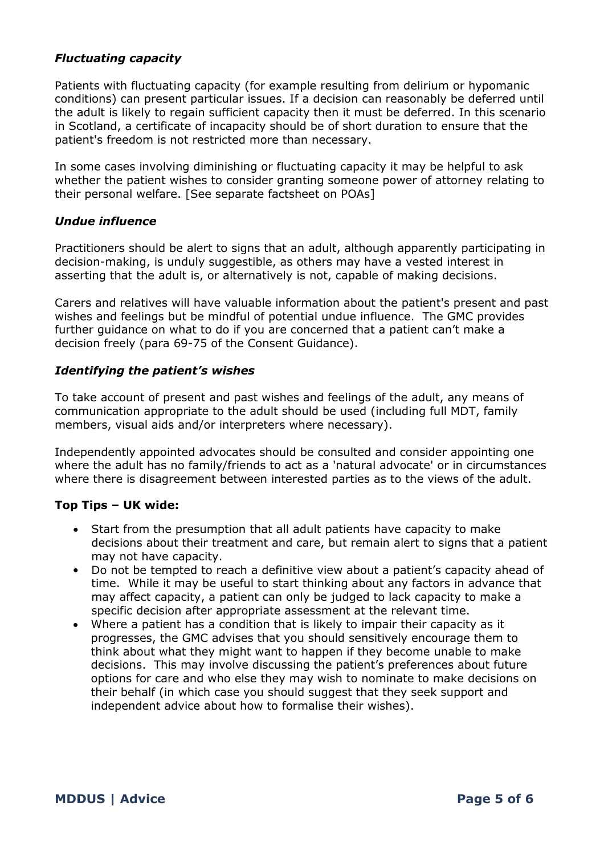## *Fluctuating capacity*

Patients with fluctuating capacity (for example resulting from delirium or hypomanic conditions) can present particular issues. If a decision can reasonably be deferred until the adult is likely to regain sufficient capacity then it must be deferred. In this scenario in Scotland, a certificate of incapacity should be of short duration to ensure that the patient's freedom is not restricted more than necessary.

In some cases involving diminishing or fluctuating capacity it may be helpful to ask whether the patient wishes to consider granting someone power of attorney relating to their personal welfare. [See separate factsheet on POAs]

## *Undue influence*

Practitioners should be alert to signs that an adult, although apparently participating in decision-making, is unduly suggestible, as others may have a vested interest in asserting that the adult is, or alternatively is not, capable of making decisions.

Carers and relatives will have valuable information about the patient's present and past wishes and feelings but be mindful of potential undue influence. The GMC provides further guidance on what to do if you are concerned that a patient can't make a decision freely (para 69-75 of the Consent Guidance).

## *Identifying the patient's wishes*

To take account of present and past wishes and feelings of the adult, any means of communication appropriate to the adult should be used (including full MDT, family members, visual aids and/or interpreters where necessary).

Independently appointed advocates should be consulted and consider appointing one where the adult has no family/friends to act as a 'natural advocate' or in circumstances where there is disagreement between interested parties as to the views of the adult.

## **Top Tips – UK wide:**

- Start from the presumption that all adult patients have capacity to make decisions about their treatment and care, but remain alert to signs that a patient may not have capacity.
- Do not be tempted to reach a definitive view about a patient's capacity ahead of time. While it may be useful to start thinking about any factors in advance that may affect capacity, a patient can only be judged to lack capacity to make a specific decision after appropriate assessment at the relevant time.
- Where a patient has a condition that is likely to impair their capacity as it progresses, the GMC advises that you should sensitively encourage them to think about what they might want to happen if they become unable to make decisions. This may involve discussing the patient's preferences about future options for care and who else they may wish to nominate to make decisions on their behalf (in which case you should suggest that they seek support and independent advice about how to formalise their wishes).